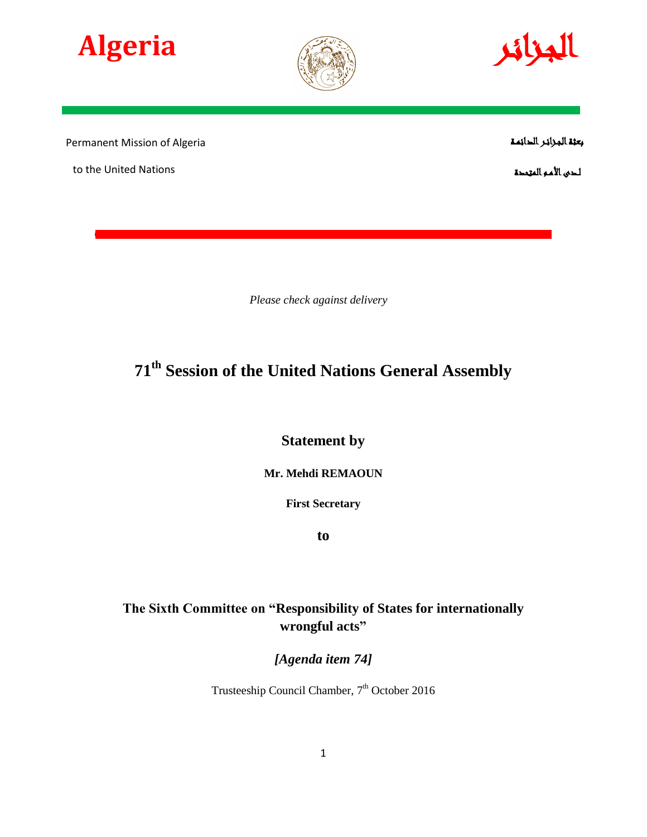





Permanent Mission of Algeria

to the United Nations

بعثة الجـزائـر الدائمـة

لـدى األمـم المتحدة

*Please check against delivery*

# **71 th Session of the United Nations General Assembly**

**Statement by** 

**Mr. Mehdi REMAOUN**

**First Secretary**

**to**

## **The Sixth Committee on "Responsibility of States for internationally wrongful acts"**

*[Agenda item 74]*

Trusteeship Council Chamber, 7<sup>th</sup> October 2016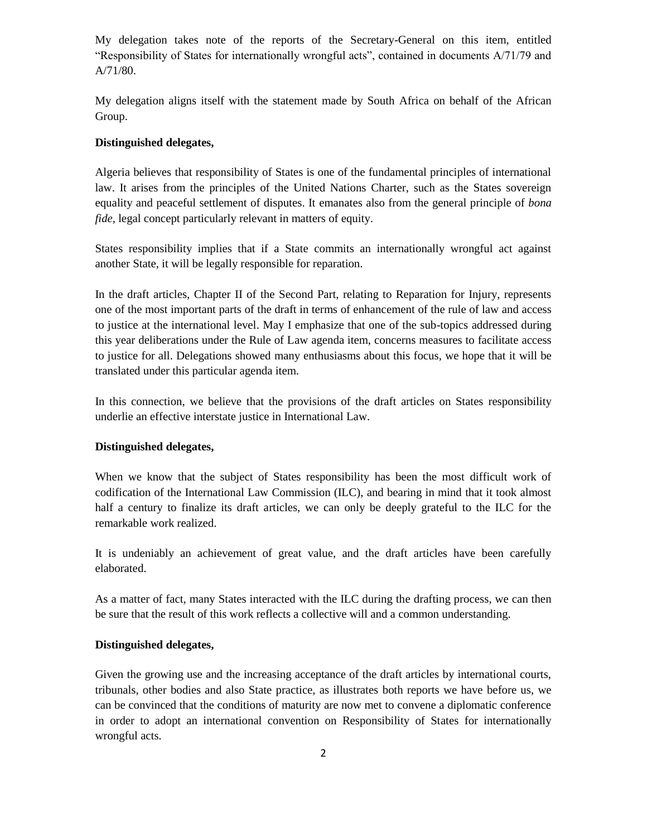My delegation takes note of the reports of the Secretary-General on this item, entitled "Responsibility of States for internationally wrongful acts", contained in documents A/71/79 and A/71/80.

My delegation aligns itself with the statement made by South Africa on behalf of the African Group.

#### **Distinguished delegates,**

Algeria believes that responsibility of States is one of the fundamental principles of international law. It arises from the principles of the United Nations Charter, such as the States sovereign equality and peaceful settlement of disputes. It emanates also from the general principle of *bona fide*, legal concept particularly relevant in matters of equity.

States responsibility implies that if a State commits an internationally wrongful act against another State, it will be legally responsible for reparation.

In the draft articles, Chapter II of the Second Part, relating to Reparation for Injury, represents one of the most important parts of the draft in terms of enhancement of the rule of law and access to justice at the international level. May I emphasize that one of the sub-topics addressed during this year deliberations under the Rule of Law agenda item, concerns measures to facilitate access to justice for all. Delegations showed many enthusiasms about this focus, we hope that it will be translated under this particular agenda item.

In this connection, we believe that the provisions of the draft articles on States responsibility underlie an effective interstate justice in International Law.

#### **Distinguished delegates,**

When we know that the subject of States responsibility has been the most difficult work of codification of the International Law Commission (ILC), and bearing in mind that it took almost half a century to finalize its draft articles, we can only be deeply grateful to the ILC for the remarkable work realized.

It is undeniably an achievement of great value, and the draft articles have been carefully elaborated.

As a matter of fact, many States interacted with the ILC during the drafting process, we can then be sure that the result of this work reflects a collective will and a common understanding.

#### **Distinguished delegates,**

Given the growing use and the increasing acceptance of the draft articles by international courts, tribunals, other bodies and also State practice, as illustrates both reports we have before us, we can be convinced that the conditions of maturity are now met to convene a diplomatic conference in order to adopt an international convention on Responsibility of States for internationally wrongful acts.